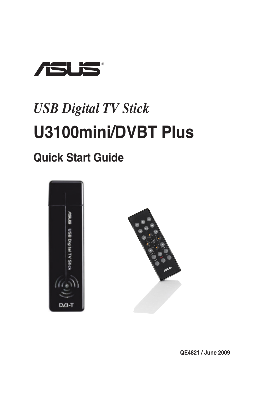

# **U3100mini/DVBT Plus** *USB Digital TV Stick*

## **Quick Start Guide**





**QE4821 / June 2009**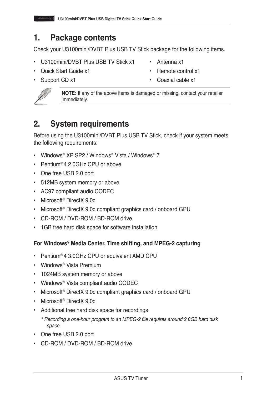#### **1. Package contents**

Check your U3100mini/DVBT Plus USB TV Stick package for the following items.

- U3100mini/DVBT Plus USB TV Stick x1 Antenna x1
- Quick Start Guide x1 Remote control x1
- 
- 
- 

- 
- Support CD x1 Coaxial cable x1



**NOTE:** If any of the above items is damaged or missing, contact your retailer immediately.

### **2. System requirements**

Before using the U3100mini/DVBT Plus USB TV Stick, check if your system meets the following requirements:

- Windows® XP SP2 / Windows® Vista / Windows® 7
- Pentium® 4 2.0GHz CPU or above
- One free USB 2.0 port
- 512MB system memory or above
- AC97 compliant audio CODEC
- Microsoft® DirectX 9.0c
- Microsoft® DirectX 9.0c compliant graphics card / onboard GPU
- CD-ROM / DVD-ROM / BD-ROM drive
- 1GB free hard disk space for software installation

#### **For Windows® Media Center, Time shifting, and MPEG-2 capturing**

- Pentium® 4 3.0GHz CPU or equivalent AMD CPU
- Windows® Vista Premium
- 1024MB system memory or above
- Windows® Vista compliant audio CODEC
- Microsoft<sup>®</sup> DirectX 9.0c compliant graphics card / onboard GPU
- Microsoft® DirectX 9.0c
- Additional free hard disk space for recordings
	- \* Recording a one-hour program to an MPEG-2 file requires around 2.8GB hard disk space.
- One free USB 2.0 port
- CD-ROM / DVD-ROM / BD-ROM drive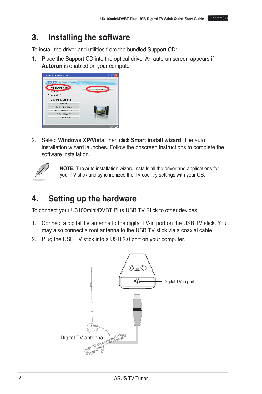#### **3. Installing the software**

To install the driver and utilities from the bundled Support CD:

1. Place the Support CD into the optical drive. An autorun screen appears if **Autorun** is enabled on your computer.



2. Select **Windows XP/Vista**, then click **Smart install wizard**. The auto installation wizard launches. Follow the onscreen instructions to complete the software installation.



**NOTE:** The auto installation wizard installs all the driver and applications for your TV stick and synchronizes the TV country settings with your OS.

## **4. Setting up the hardware**

To connect your U3100mini/DVBT Plus USB TV Stick to other devices:

- 1. Connect a digital TV antenna to the digital TV-in port on the USB TV stick. You may also connect a roof antenna to the USB TV stick via a coaxial cable.
- 2. Plug the USB TV stick into a USB 2.0 port on your computer.

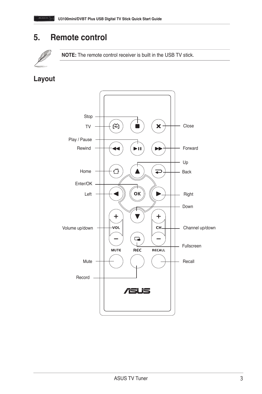#### **5. Remote control**



**NOTE:** The remote control receiver is built in the USB TV stick.

**Layout**

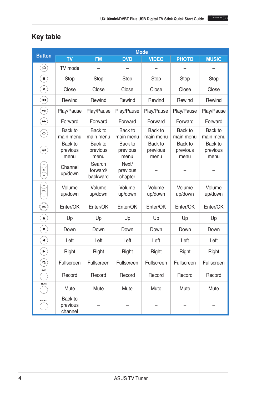

| <b>Button</b>                    | <b>Mode</b>                    |                                |                              |                             |                             |                             |
|----------------------------------|--------------------------------|--------------------------------|------------------------------|-----------------------------|-----------------------------|-----------------------------|
|                                  | <b>TV</b>                      | <b>FM</b>                      | <b>DVD</b>                   | <b>VIDEO</b>                | <b>PHOTO</b>                | <b>MUSIC</b>                |
| $(\%)$                           | TV mode                        |                                |                              |                             |                             |                             |
| $\blacksquare$                   | Stop                           | Stop                           | Stop                         | Stop                        | Stop                        | Stop                        |
| $\mathbf{\hat{x}}$               | Close                          | Close                          | Close                        | Close                       | Close                       | Close                       |
| $\bigodot$                       | Rewind                         | Rewind                         | Rewind                       | Rewind                      | Rewind                      | Rewind                      |
| $\bigcirc$                       | Play/Pause                     | Play/Pause                     | Play/Pause                   | Play/Pause                  | Play/Pause                  | Play/Pause                  |
| $\bigodot$                       | Forward                        | Forward                        | Forward                      | Forward                     | Forward                     | Forward                     |
| €                                | Back to<br>main menu           | Back to<br>main menu           | Back to<br>main menu         | Back to<br>main menu        | Back to<br>main menu        | Back to<br>main menu        |
| $\sum_{i=1}^{n}$                 | Back to<br>previous<br>menu    | Back to<br>previous<br>menu    | Back to<br>previous<br>menu  | Back to<br>previous<br>menu | Back to<br>previous<br>menu | Back to<br>previous<br>menu |
| $\ddot{}$<br>$\binom{1}{1}$      | Channel<br>up/down             | Search<br>forward/<br>backward | Next/<br>previous<br>chapter |                             |                             |                             |
| $^{+}$<br>$\frac{1}{\sqrt{10}}$  | Volume<br>up/down              | Volume<br>up/down              | Volume<br>up/down            | Volume<br>up/down           | Volume<br>up/down           | Volume<br>up/down           |
| $\overset{\text{\tiny (or)}}{=}$ | Enter/OK                       | Enter/OK                       | Enter/OK                     | Enter/OK                    | Enter/OK                    | Enter/OK                    |
| $\bigcirc$                       | Up                             | Up                             | Up                           | Up                          | Up                          | Up                          |
| $\widetilde{\mathbf{y}}$         | Down                           | Down                           | Down                         | Down                        | Down                        | Down                        |
| €                                | Left                           | Left                           | Left                         | Left                        | Left                        | Left                        |
| $\mathbf{E}$                     | Right                          | Right                          | Right                        | Right                       | Right                       | Right                       |
| ۹                                | Fullscreen                     | Fullscreen                     | Fullscreen                   | Fullscreen                  | Fullscreen                  | Fullscreen                  |
| REC                              | Record                         | Record                         | Record                       | Record                      | Record                      | Record                      |
| MUTE                             | Mute                           | Mute                           | Mute                         | Mute                        | Mute                        | Mute                        |
| RECALL                           | Back to<br>previous<br>channel |                                |                              |                             |                             |                             |

#### **Key table**